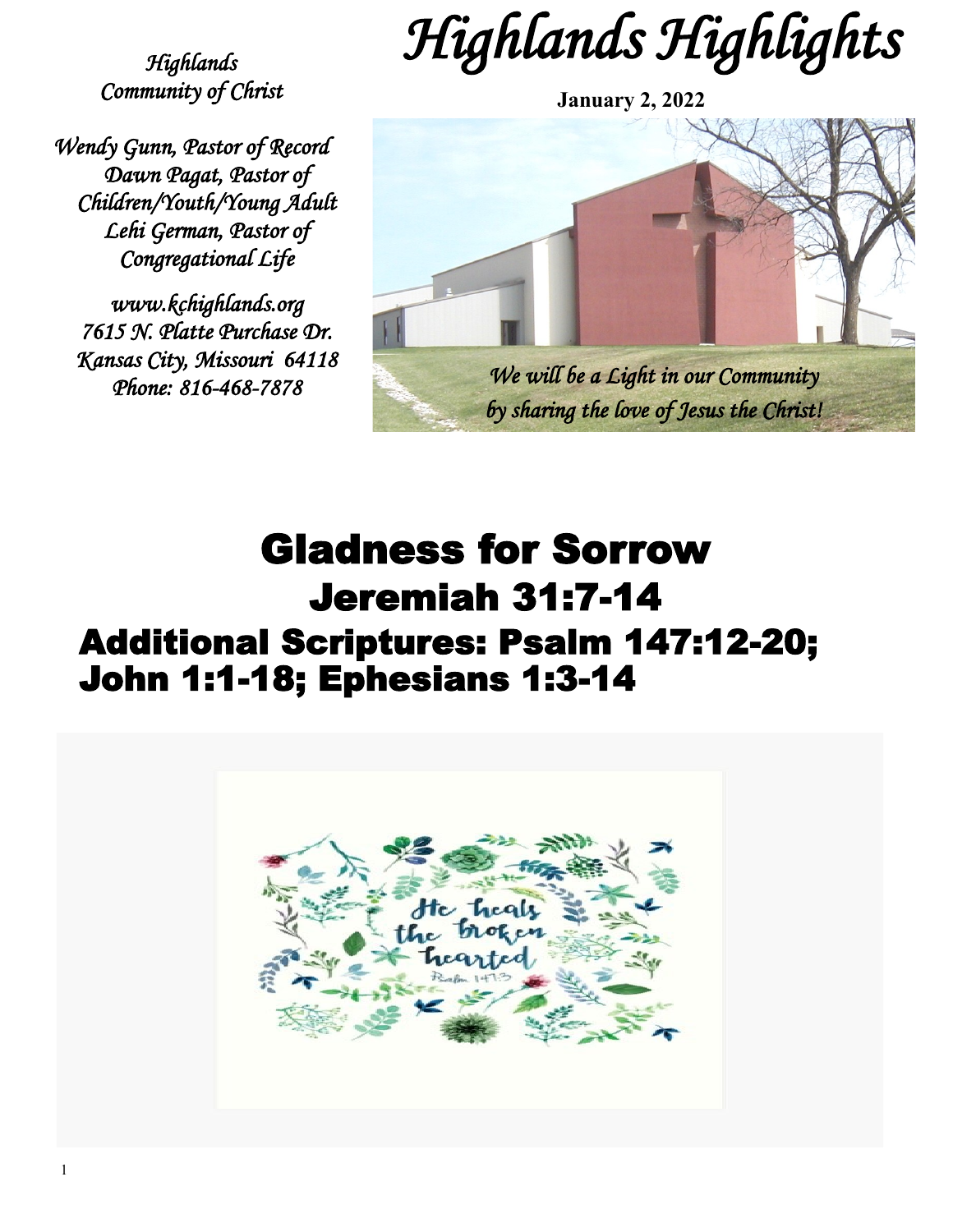*Highlands Highlights* 

*Highlands Community of Christ* 

*Wendy Gunn, Pastor of Record Dawn Pagat, Pastor of Children/Youth/Young Adult Lehi German, Pastor of Congregational Life* 

*www.kchighlands.org 7615 N. Platte Purchase Dr. Kansas City, Missouri 64118 Phone: 816-468-7878* 



# Gladness for Sorrow Jeremiah 31:7-14 Additional Scriptures: Psalm 147:12-20; John 1:1-18; Ephesians 1:3-14

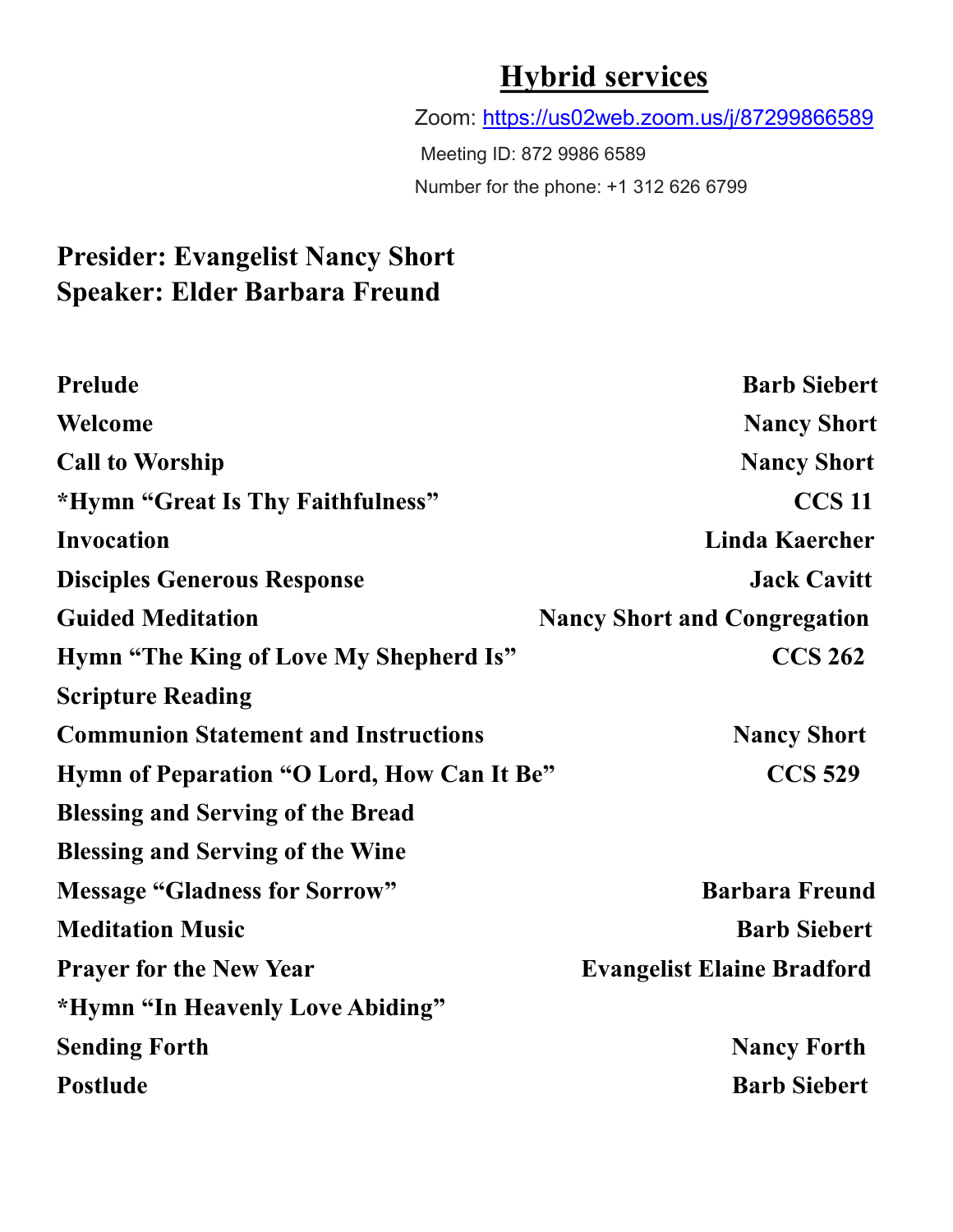### **Hybrid services**

Zoom:<https://us02web.zoom.us/j/87299866589>

Meeting ID: 872 9986 6589 Number for the phone: +1 312 626 6799

### **Presider: Evangelist Nancy Short Speaker: Elder Barbara Freund**

| Prelude                                     | <b>Barb Siebert</b>                 |
|---------------------------------------------|-------------------------------------|
| Welcome                                     | <b>Nancy Short</b>                  |
| <b>Call to Worship</b>                      | <b>Nancy Short</b>                  |
| *Hymn "Great Is Thy Faithfulness"           | <b>CCS 11</b>                       |
| <b>Invocation</b>                           | <b>Linda Kaercher</b>               |
| <b>Disciples Generous Response</b>          | <b>Jack Cavitt</b>                  |
| <b>Guided Meditation</b>                    | <b>Nancy Short and Congregation</b> |
| Hymn "The King of Love My Shepherd Is"      | <b>CCS 262</b>                      |
| <b>Scripture Reading</b>                    |                                     |
| <b>Communion Statement and Instructions</b> | <b>Nancy Short</b>                  |
| Hymn of Peparation "O Lord, How Can It Be"  | <b>CCS 529</b>                      |
| <b>Blessing and Serving of the Bread</b>    |                                     |
| <b>Blessing and Serving of the Wine</b>     |                                     |
| <b>Message "Gladness for Sorrow"</b>        | <b>Barbara Freund</b>               |
| <b>Meditation Music</b>                     | <b>Barb Siebert</b>                 |
| <b>Prayer for the New Year</b>              | <b>Evangelist Elaine Bradford</b>   |
| *Hymn "In Heavenly Love Abiding"            |                                     |
| <b>Sending Forth</b>                        | <b>Nancy Forth</b>                  |
| <b>Postlude</b>                             | <b>Barb Siebert</b>                 |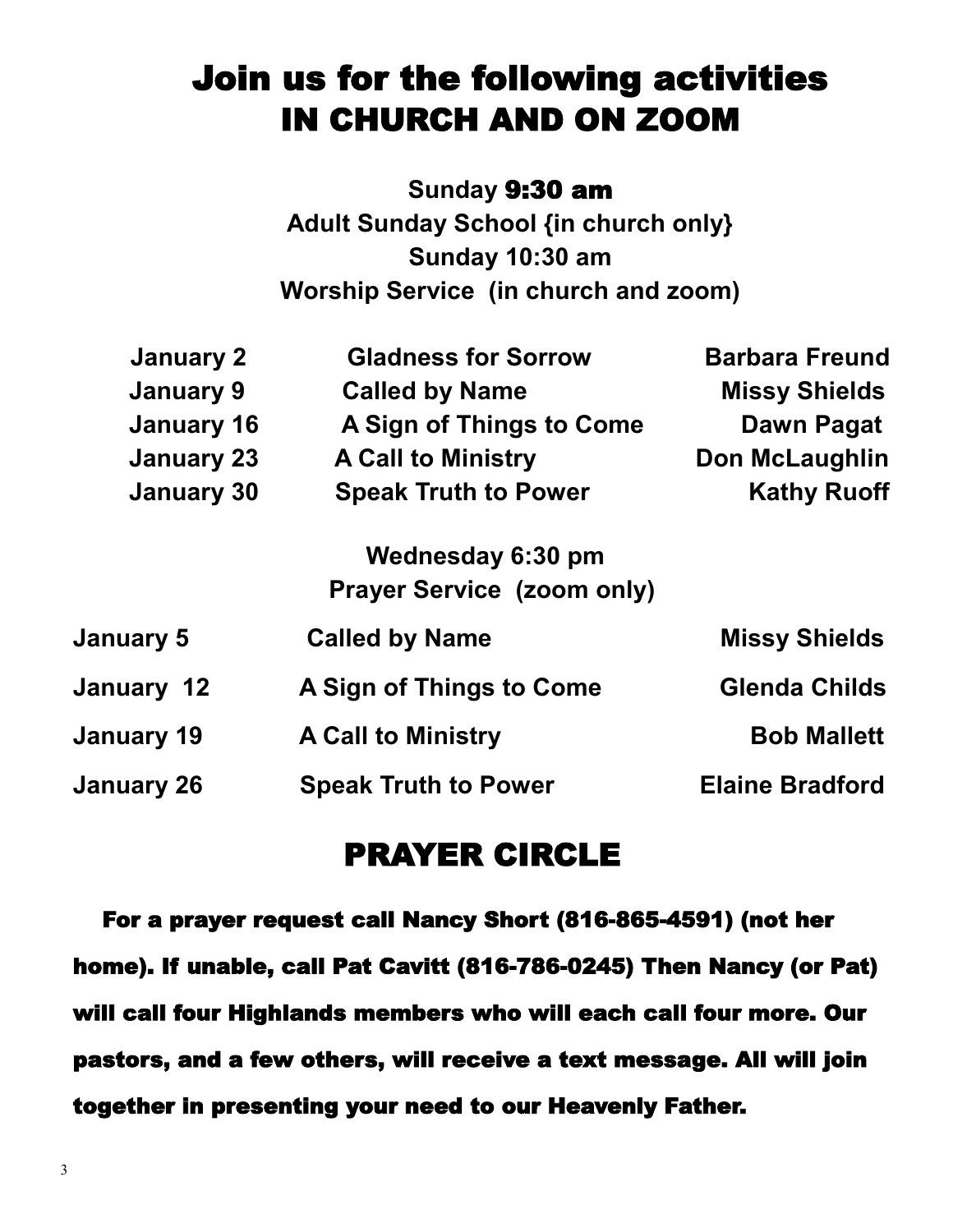# Join us for the following activities IN CHURCH AND ON ZOOM

**Sunday** 9:30 am **Adult Sunday School {in church only} Sunday 10:30 am Worship Service (in church and zoom)**

| January 2         | <b>Gladness for Sorrow</b>        | <b>Barbara Freund</b>  |
|-------------------|-----------------------------------|------------------------|
| <b>January 9</b>  | <b>Called by Name</b>             | <b>Missy Shields</b>   |
| <b>January 16</b> | A Sign of Things to Come          | Dawn Pagat             |
| <b>January 23</b> | <b>A Call to Ministry</b>         | <b>Don McLaughlin</b>  |
| <b>January 30</b> | <b>Speak Truth to Power</b>       | <b>Kathy Ruoff</b>     |
|                   | Wednesday 6:30 pm                 |                        |
|                   | <b>Prayer Service (zoom only)</b> |                        |
| <b>January 5</b>  | <b>Called by Name</b>             | <b>Missy Shields</b>   |
| January 12        | A Sign of Things to Come          | <b>Glenda Childs</b>   |
| January 19        | <b>A Call to Ministry</b>         | <b>Bob Mallett</b>     |
| <b>January 26</b> | <b>Speak Truth to Power</b>       | <b>Elaine Bradford</b> |

#### PRAYER CIRCLE

 For a prayer request call Nancy Short (816-865-4591) (not her home). If unable, call Pat Cavitt (816-786-0245) Then Nancy (or Pat) will call four Highlands members who will each call four more. Our pastors, and a few others, will receive a text message. All will join together in presenting your need to our Heavenly Father.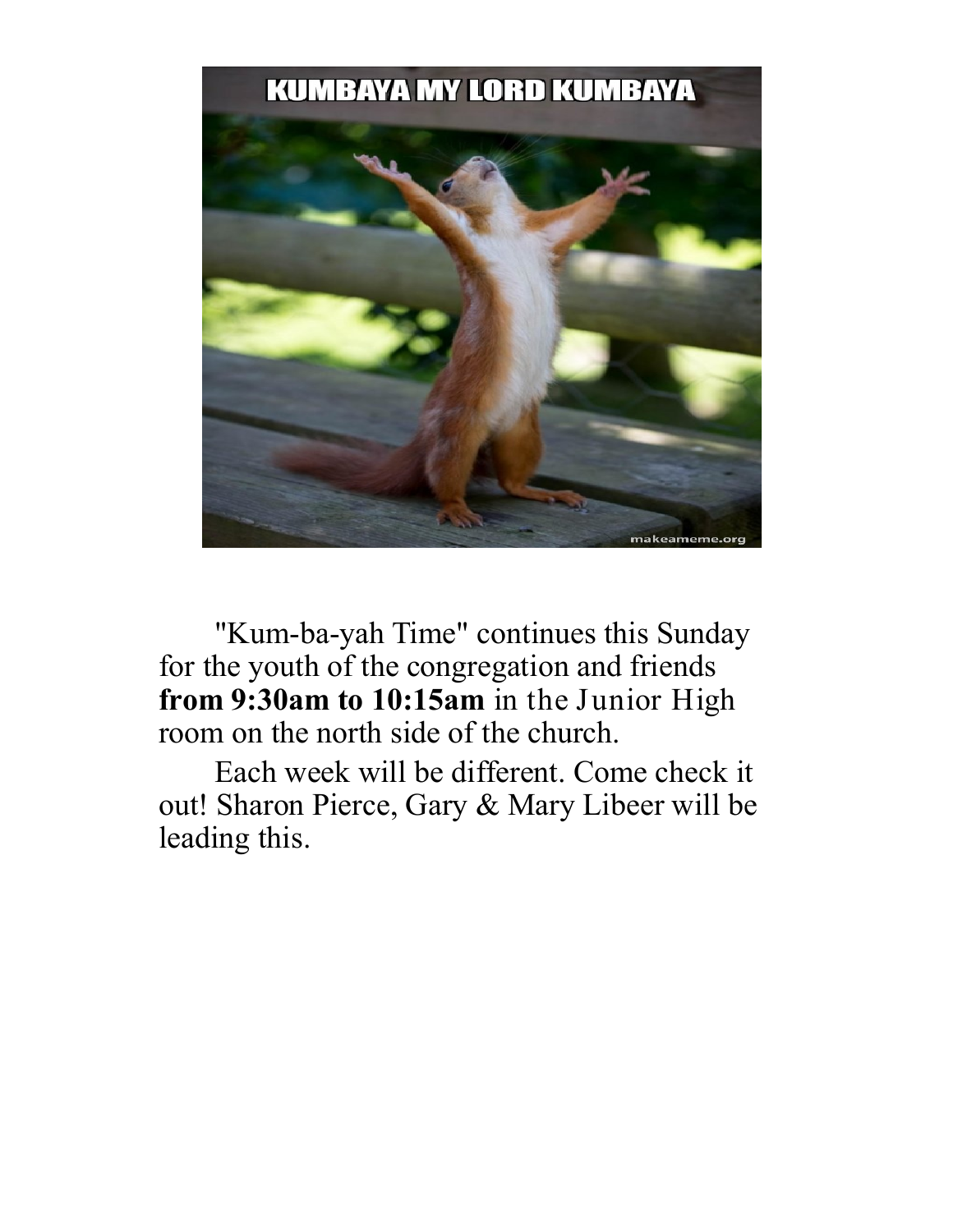#### **KUMBAYA MY LORD KUMBAYA**



"Kum-ba-yah Time" continues this Sunday for the youth of the congregation and friends **from 9:30am to 10:15am** in the Junior High room on the north side of the church.

Each week will be different. Come check it out! Sharon Pierce, Gary & Mary Libeer will be leading this.